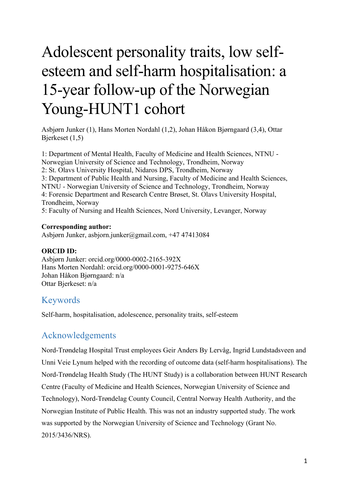# Adolescent personality traits, low selfesteem and self-harm hospitalisation: a 15-year follow-up of the Norwegian Young-HUNT1 cohort

Asbjørn Junker (1), Hans Morten Nordahl (1,2), Johan Håkon Bjørngaard (3,4), Ottar Bjerkeset (1,5)

1: Department of Mental Health, Faculty of Medicine and Health Sciences, NTNU - Norwegian University of Science and Technology, Trondheim, Norway 2: St. Olavs University Hospital, Nidaros DPS, Trondheim, Norway 3: Department of Public Health and Nursing, Faculty of Medicine and Health Sciences, NTNU - Norwegian University of Science and Technology, Trondheim, Norway 4: Forensic Department and Research Centre Brøset, St. Olavs University Hospital, Trondheim, Norway 5: Faculty of Nursing and Health Sciences, Nord University, Levanger, Norway

## **Corresponding author:**

Asbjørn Junker, asbjorn.junker@gmail.com, +47 47413084

## **ORCID ID:**

Asbjørn Junker: orcid.org/0000-0002-2165-392X Hans Morten Nordahl: orcid.org/0000-0001-9275-646X Johan Håkon Bjørngaard: n/a Ottar Bjerkeset: n/a

# Keywords

Self-harm, hospitalisation, adolescence, personality traits, self-esteem

# Acknowledgements

Nord-Trøndelag Hospital Trust employees Geir Anders By Lervåg, Ingrid Lundstadsveen and Unni Veie Lynum helped with the recording of outcome data (self-harm hospitalisations). The Nord-Trøndelag Health Study (The HUNT Study) is a collaboration between HUNT Research Centre (Faculty of Medicine and Health Sciences, Norwegian University of Science and Technology), Nord-Trøndelag County Council, Central Norway Health Authority, and the Norwegian Institute of Public Health. This was not an industry supported study. The work was supported by the Norwegian University of Science and Technology (Grant No. 2015/3436/NRS).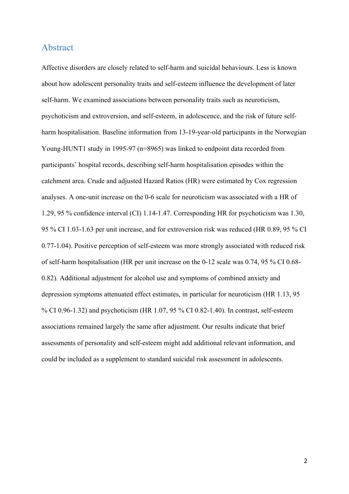## Abstract

Affective disorders are closely related to self-harm and suicidal behaviours. Less is known about how adolescent personality traits and self-esteem influence the development of later self-harm. We examined associations between personality traits such as neuroticism, psychoticism and extroversion, and self-esteem, in adolescence, and the risk of future selfharm hospitalisation. Baseline information from 13-19-year-old participants in the Norwegian Young-HUNT1 study in 1995-97 (n=8965) was linked to endpoint data recorded from participants' hospital records, describing self-harm hospitalisation episodes within the catchment area. Crude and adjusted Hazard Ratios (HR) were estimated by Cox regression analyses. A one-unit increase on the 0-6 scale for neuroticism was associated with a HR of 1.29, 95 % confidence interval (CI) 1.14-1.47. Corresponding HR for psychoticism was 1.30, 95 % CI 1.03-1.63 per unit increase, and for extroversion risk was reduced (HR 0.89, 95 % CI 0.77-1.04). Positive perception of self-esteem was more strongly associated with reduced risk of self-harm hospitalisation (HR per unit increase on the 0-12 scale was 0.74, 95 % CI 0.68- 0.82). Additional adjustment for alcohol use and symptoms of combined anxiety and depression symptoms attenuated effect estimates, in particular for neuroticism (HR 1.13, 95 % CI 0.96-1.32) and psychoticism (HR 1.07, 95 % CI 0.82-1.40). In contrast, self-esteem associations remained largely the same after adjustment. Our results indicate that brief assessments of personality and self-esteem might add additional relevant information, and could be included as a supplement to standard suicidal risk assessment in adolescents.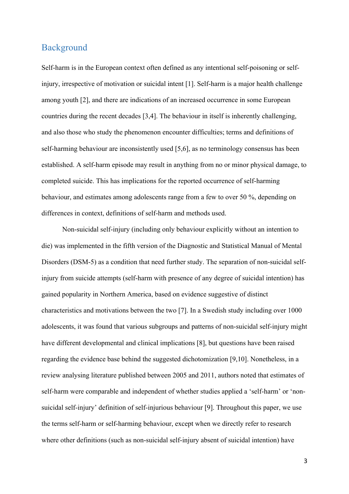# Background

Self-harm is in the European context often defined as any intentional self-poisoning or selfinjury, irrespective of motivation or suicidal intent [1]. Self-harm is a major health challenge among youth [2], and there are indications of an increased occurrence in some European countries during the recent decades [3,4]. The behaviour in itself is inherently challenging, and also those who study the phenomenon encounter difficulties; terms and definitions of self-harming behaviour are inconsistently used [5,6], as no terminology consensus has been established. A self-harm episode may result in anything from no or minor physical damage, to completed suicide. This has implications for the reported occurrence of self-harming behaviour, and estimates among adolescents range from a few to over 50 %, depending on differences in context, definitions of self-harm and methods used.

Non-suicidal self-injury (including only behaviour explicitly without an intention to die) was implemented in the fifth version of the Diagnostic and Statistical Manual of Mental Disorders (DSM-5) as a condition that need further study. The separation of non-suicidal selfinjury from suicide attempts (self-harm with presence of any degree of suicidal intention) has gained popularity in Northern America, based on evidence suggestive of distinct characteristics and motivations between the two [7]. In a Swedish study including over 1000 adolescents, it was found that various subgroups and patterns of non-suicidal self-injury might have different developmental and clinical implications [8], but questions have been raised regarding the evidence base behind the suggested dichotomization [9,10]. Nonetheless, in a review analysing literature published between 2005 and 2011, authors noted that estimates of self-harm were comparable and independent of whether studies applied a 'self-harm' or 'nonsuicidal self-injury' definition of self-injurious behaviour [9]. Throughout this paper, we use the terms self-harm or self-harming behaviour, except when we directly refer to research where other definitions (such as non-suicidal self-injury absent of suicidal intention) have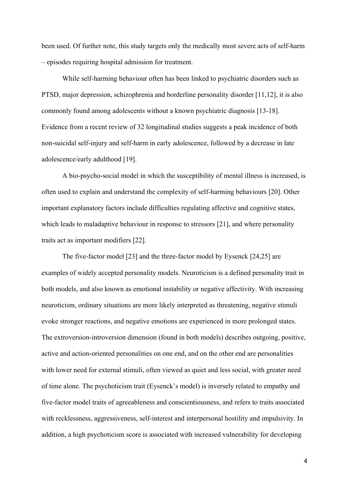been used. Of further note, this study targets only the medically most severe acts of self-harm – episodes requiring hospital admission for treatment.

While self-harming behaviour often has been linked to psychiatric disorders such as PTSD, major depression, schizophrenia and borderline personality disorder [11,12], it is also commonly found among adolescents without a known psychiatric diagnosis [13-18]. Evidence from a recent review of 32 longitudinal studies suggests a peak incidence of both non-suicidal self-injury and self-harm in early adolescence, followed by a decrease in late adolescence/early adulthood [19].

A bio-psycho-social model in which the susceptibility of mental illness is increased, is often used to explain and understand the complexity of self-harming behaviours [20]. Other important explanatory factors include difficulties regulating affective and cognitive states, which leads to maladaptive behaviour in response to stressors [21], and where personality traits act as important modifiers [22].

The five-factor model [23] and the three-factor model by Eysenck [24,25] are examples of widely accepted personality models. Neuroticism is a defined personality trait in both models, and also known as emotional instability or negative affectivity. With increasing neuroticism, ordinary situations are more likely interpreted as threatening, negative stimuli evoke stronger reactions, and negative emotions are experienced in more prolonged states. The extroversion-introversion dimension (found in both models) describes outgoing, positive, active and action-oriented personalities on one end, and on the other end are personalities with lower need for external stimuli, often viewed as quiet and less social, with greater need of time alone. The psychoticism trait (Eysenck's model) is inversely related to empathy and five-factor model traits of agreeableness and conscientiousness, and refers to traits associated with recklessness, aggressiveness, self-interest and interpersonal hostility and impulsivity. In addition, a high psychoticism score is associated with increased vulnerability for developing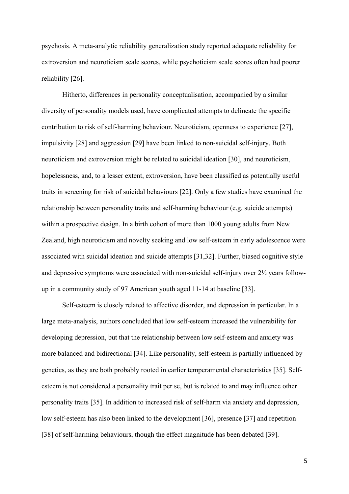psychosis. A meta-analytic reliability generalization study reported adequate reliability for extroversion and neuroticism scale scores, while psychoticism scale scores often had poorer reliability [26].

Hitherto, differences in personality conceptualisation, accompanied by a similar diversity of personality models used, have complicated attempts to delineate the specific contribution to risk of self-harming behaviour. Neuroticism, openness to experience [27], impulsivity [28] and aggression [29] have been linked to non-suicidal self-injury. Both neuroticism and extroversion might be related to suicidal ideation [30], and neuroticism, hopelessness, and, to a lesser extent, extroversion, have been classified as potentially useful traits in screening for risk of suicidal behaviours [22]. Only a few studies have examined the relationship between personality traits and self-harming behaviour (e.g. suicide attempts) within a prospective design. In a birth cohort of more than 1000 young adults from New Zealand, high neuroticism and novelty seeking and low self-esteem in early adolescence were associated with suicidal ideation and suicide attempts [31,32]. Further, biased cognitive style and depressive symptoms were associated with non-suicidal self-injury over 2½ years followup in a community study of 97 American youth aged 11-14 at baseline [33].

Self-esteem is closely related to affective disorder, and depression in particular. In a large meta-analysis, authors concluded that low self-esteem increased the vulnerability for developing depression, but that the relationship between low self-esteem and anxiety was more balanced and bidirectional [34]. Like personality, self-esteem is partially influenced by genetics, as they are both probably rooted in earlier temperamental characteristics [35]. Selfesteem is not considered a personality trait per se, but is related to and may influence other personality traits [35]. In addition to increased risk of self-harm via anxiety and depression, low self-esteem has also been linked to the development [36], presence [37] and repetition [38] of self-harming behaviours, though the effect magnitude has been debated [39].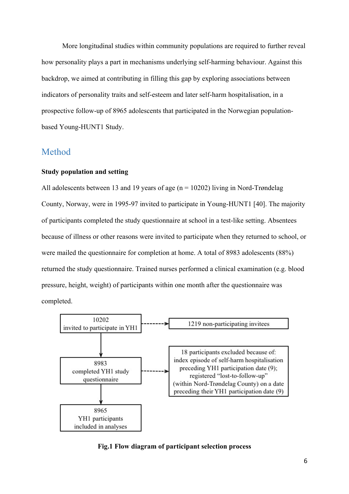More longitudinal studies within community populations are required to further reveal how personality plays a part in mechanisms underlying self-harming behaviour. Against this backdrop, we aimed at contributing in filling this gap by exploring associations between indicators of personality traits and self-esteem and later self-harm hospitalisation, in a prospective follow-up of 8965 adolescents that participated in the Norwegian populationbased Young-HUNT1 Study.

# Method

### **Study population and setting**

All adolescents between 13 and 19 years of age ( $n = 10202$ ) living in Nord-Trøndelag County, Norway, were in 1995-97 invited to participate in Young-HUNT1 [40]. The majority of participants completed the study questionnaire at school in a test-like setting. Absentees because of illness or other reasons were invited to participate when they returned to school, or were mailed the questionnaire for completion at home. A total of 8983 adolescents (88%) returned the study questionnaire. Trained nurses performed a clinical examination (e.g. blood pressure, height, weight) of participants within one month after the questionnaire was completed.



#### **Fig.1 Flow diagram of participant selection process**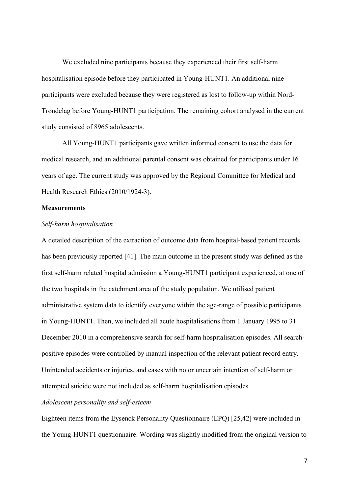We excluded nine participants because they experienced their first self-harm hospitalisation episode before they participated in Young-HUNT1. An additional nine participants were excluded because they were registered as lost to follow-up within Nord-Trøndelag before Young-HUNT1 participation. The remaining cohort analysed in the current study consisted of 8965 adolescents.

All Young-HUNT1 participants gave written informed consent to use the data for medical research, and an additional parental consent was obtained for participants under 16 years of age. The current study was approved by the Regional Committee for Medical and Health Research Ethics (2010/1924-3).

#### **Measurements**

#### *Self-harm hospitalisation*

A detailed description of the extraction of outcome data from hospital-based patient records has been previously reported [41]. The main outcome in the present study was defined as the first self-harm related hospital admission a Young-HUNT1 participant experienced, at one of the two hospitals in the catchment area of the study population. We utilised patient administrative system data to identify everyone within the age-range of possible participants in Young-HUNT1. Then, we included all acute hospitalisations from 1 January 1995 to 31 December 2010 in a comprehensive search for self-harm hospitalisation episodes. All searchpositive episodes were controlled by manual inspection of the relevant patient record entry. Unintended accidents or injuries, and cases with no or uncertain intention of self-harm or attempted suicide were not included as self-harm hospitalisation episodes.

## *Adolescent personality and self-esteem*

Eighteen items from the Eysenck Personality Questionnaire (EPQ) [25,42] were included in the Young-HUNT1 questionnaire. Wording was slightly modified from the original version to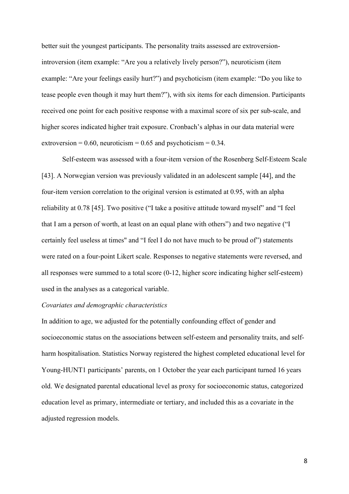better suit the youngest participants. The personality traits assessed are extroversionintroversion (item example: "Are you a relatively lively person?"), neuroticism (item example: "Are your feelings easily hurt?") and psychoticism (item example: "Do you like to tease people even though it may hurt them?"), with six items for each dimension. Participants received one point for each positive response with a maximal score of six per sub-scale, and higher scores indicated higher trait exposure. Cronbach's alphas in our data material were extroversion =  $0.60$ , neuroticism =  $0.65$  and psychoticism =  $0.34$ .

Self-esteem was assessed with a four-item version of the Rosenberg Self-Esteem Scale [43]. A Norwegian version was previously validated in an adolescent sample [44], and the four-item version correlation to the original version is estimated at 0.95, with an alpha reliability at 0.78 [45]. Two positive ("I take a positive attitude toward myself" and "I feel that I am a person of worth, at least on an equal plane with others") and two negative ("I certainly feel useless at times" and "I feel I do not have much to be proud of") statements were rated on a four-point Likert scale. Responses to negative statements were reversed, and all responses were summed to a total score (0-12, higher score indicating higher self-esteem) used in the analyses as a categorical variable.

### *Covariates and demographic characteristics*

In addition to age, we adjusted for the potentially confounding effect of gender and socioeconomic status on the associations between self-esteem and personality traits, and selfharm hospitalisation. Statistics Norway registered the highest completed educational level for Young-HUNT1 participants' parents, on 1 October the year each participant turned 16 years old. We designated parental educational level as proxy for socioeconomic status, categorized education level as primary, intermediate or tertiary, and included this as a covariate in the adjusted regression models.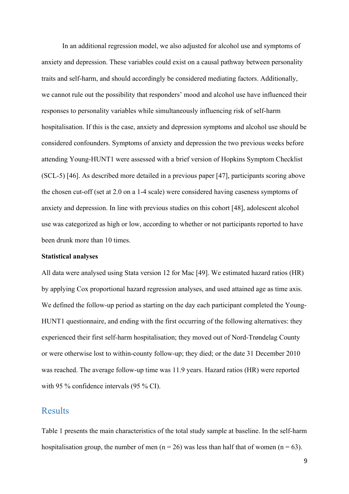In an additional regression model, we also adjusted for alcohol use and symptoms of anxiety and depression. These variables could exist on a causal pathway between personality traits and self-harm, and should accordingly be considered mediating factors. Additionally, we cannot rule out the possibility that responders' mood and alcohol use have influenced their responses to personality variables while simultaneously influencing risk of self-harm hospitalisation. If this is the case, anxiety and depression symptoms and alcohol use should be considered confounders. Symptoms of anxiety and depression the two previous weeks before attending Young-HUNT1 were assessed with a brief version of Hopkins Symptom Checklist (SCL-5) [46]. As described more detailed in a previous paper [47], participants scoring above the chosen cut-off (set at 2.0 on a 1-4 scale) were considered having caseness symptoms of anxiety and depression. In line with previous studies on this cohort [48], adolescent alcohol use was categorized as high or low, according to whether or not participants reported to have been drunk more than 10 times.

#### **Statistical analyses**

All data were analysed using Stata version 12 for Mac [49]. We estimated hazard ratios (HR) by applying Cox proportional hazard regression analyses, and used attained age as time axis. We defined the follow-up period as starting on the day each participant completed the Young-HUNT1 questionnaire, and ending with the first occurring of the following alternatives: they experienced their first self-harm hospitalisation; they moved out of Nord-Trøndelag County or were otherwise lost to within-county follow-up; they died; or the date 31 December 2010 was reached. The average follow-up time was 11.9 years. Hazard ratios (HR) were reported with 95 % confidence intervals (95 % CI).

## **Results**

Table 1 presents the main characteristics of the total study sample at baseline. In the self-harm hospitalisation group, the number of men ( $n = 26$ ) was less than half that of women ( $n = 63$ ).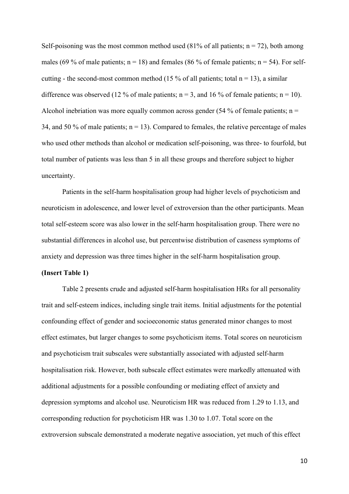Self-poisoning was the most common method used (81% of all patients;  $n = 72$ ), both among males (69 % of male patients;  $n = 18$ ) and females (86 % of female patients;  $n = 54$ ). For selfcutting - the second-most common method (15 % of all patients; total  $n = 13$ ), a similar difference was observed (12 % of male patients;  $n = 3$ , and 16 % of female patients;  $n = 10$ ). Alcohol inebriation was more equally common across gender (54 % of female patients;  $n =$ 34, and 50 % of male patients;  $n = 13$ ). Compared to females, the relative percentage of males who used other methods than alcohol or medication self-poisoning, was three- to fourfold, but total number of patients was less than 5 in all these groups and therefore subject to higher uncertainty.

Patients in the self-harm hospitalisation group had higher levels of psychoticism and neuroticism in adolescence, and lower level of extroversion than the other participants. Mean total self-esteem score was also lower in the self-harm hospitalisation group. There were no substantial differences in alcohol use, but percentwise distribution of caseness symptoms of anxiety and depression was three times higher in the self-harm hospitalisation group.

### **(Insert Table 1)**

Table 2 presents crude and adjusted self-harm hospitalisation HRs for all personality trait and self-esteem indices, including single trait items. Initial adjustments for the potential confounding effect of gender and socioeconomic status generated minor changes to most effect estimates, but larger changes to some psychoticism items. Total scores on neuroticism and psychoticism trait subscales were substantially associated with adjusted self-harm hospitalisation risk. However, both subscale effect estimates were markedly attenuated with additional adjustments for a possible confounding or mediating effect of anxiety and depression symptoms and alcohol use. Neuroticism HR was reduced from 1.29 to 1.13, and corresponding reduction for psychoticism HR was 1.30 to 1.07. Total score on the extroversion subscale demonstrated a moderate negative association, yet much of this effect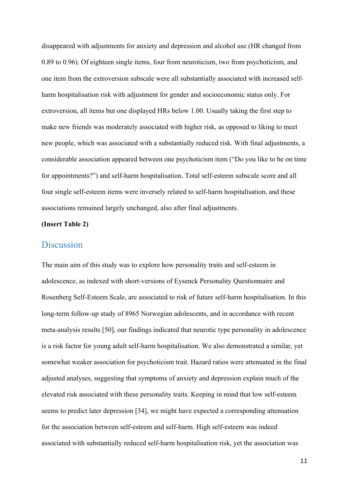disappeared with adjustments for anxiety and depression and alcohol use (HR changed from 0.89 to 0.96). Of eighteen single items, four from neuroticism, two from psychoticism, and one item from the extroversion subscale were all substantially associated with increased selfharm hospitalisation risk with adjustment for gender and socioeconomic status only. For extroversion, all items but one displayed HRs below 1.00. Usually taking the first step to make new friends was moderately associated with higher risk, as opposed to liking to meet new people, which was associated with a substantially reduced risk. With final adjustments, a considerable association appeared between one psychoticism item ("Do you like to be on time for appointments?") and self-harm hospitalisation. Total self-esteem subscale score and all four single self-esteem items were inversely related to self-harm hospitalisation, and these associations remained largely unchanged, also after final adjustments.

## **(Insert Table 2)**

## **Discussion**

The main aim of this study was to explore how personality traits and self-esteem in adolescence, as indexed with short-versions of Eysenck Personality Questionnaire and Rosenberg Self-Esteem Scale, are associated to risk of future self-harm hospitalisation. In this long-term follow-up study of 8965 Norwegian adolescents, and in accordance with recent meta-analysis results [50], our findings indicated that neurotic type personality in adolescence is a risk factor for young adult self-harm hospitalisation. We also demonstrated a similar, yet somewhat weaker association for psychoticism trait. Hazard ratios were attenuated in the final adjusted analyses, suggesting that symptoms of anxiety and depression explain much of the elevated risk associated with these personality traits. Keeping in mind that low self-esteem seems to predict later depression [34], we might have expected a corresponding attenuation for the association between self-esteem and self-harm. High self-esteem was indeed associated with substantially reduced self-harm hospitalisation risk, yet the association was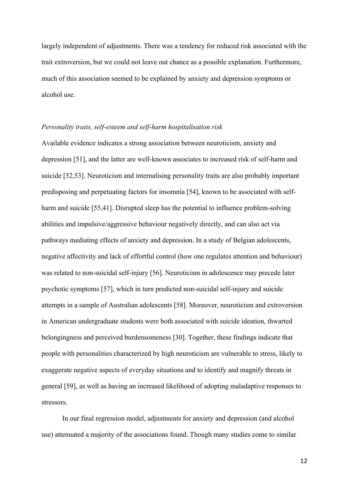largely independent of adjustments. There was a tendency for reduced risk associated with the trait extroversion, but we could not leave out chance as a possible explanation. Furthermore, much of this association seemed to be explained by anxiety and depression symptoms or alcohol use.

#### *Personality traits, self-esteem and self-harm hospitalisation risk*

Available evidence indicates a strong association between neuroticism, anxiety and depression [51], and the latter are well-known associates to increased risk of self-harm and suicide [52,53]. Neuroticism and internalising personality traits are also probably important predisposing and perpetuating factors for insomnia [54], known to be associated with selfharm and suicide [55,41]. Disrupted sleep has the potential to influence problem-solving abilities and impulsive/aggressive behaviour negatively directly, and can also act via pathways mediating effects of anxiety and depression. In a study of Belgian adolescents, negative affectivity and lack of effortful control (how one regulates attention and behaviour) was related to non-suicidal self-injury [56]. Neuroticism in adolescence may precede later psychotic symptoms [57], which in turn predicted non-suicidal self-injury and suicide attempts in a sample of Australian adolescents [58]. Moreover, neuroticism and extroversion in American undergraduate students were both associated with suicide ideation, thwarted belongingness and perceived burdensomeness [30]. Together, these findings indicate that people with personalities characterized by high neuroticism are vulnerable to stress, likely to exaggerate negative aspects of everyday situations and to identify and magnify threats in general [59], as well as having an increased likelihood of adopting maladaptive responses to stressors.

In our final regression model, adjustments for anxiety and depression (and alcohol use) attenuated a majority of the associations found. Though many studies come to similar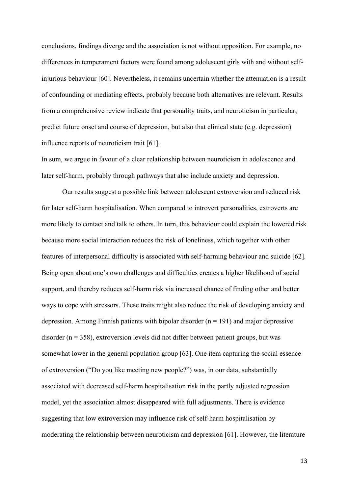conclusions, findings diverge and the association is not without opposition. For example, no differences in temperament factors were found among adolescent girls with and without selfinjurious behaviour [60]. Nevertheless, it remains uncertain whether the attenuation is a result of confounding or mediating effects, probably because both alternatives are relevant. Results from a comprehensive review indicate that personality traits, and neuroticism in particular, predict future onset and course of depression, but also that clinical state (e.g. depression) influence reports of neuroticism trait [61].

In sum, we argue in favour of a clear relationship between neuroticism in adolescence and later self-harm, probably through pathways that also include anxiety and depression.

Our results suggest a possible link between adolescent extroversion and reduced risk for later self-harm hospitalisation. When compared to introvert personalities, extroverts are more likely to contact and talk to others. In turn, this behaviour could explain the lowered risk because more social interaction reduces the risk of loneliness, which together with other features of interpersonal difficulty is associated with self-harming behaviour and suicide [62]. Being open about one's own challenges and difficulties creates a higher likelihood of social support, and thereby reduces self-harm risk via increased chance of finding other and better ways to cope with stressors. These traits might also reduce the risk of developing anxiety and depression. Among Finnish patients with bipolar disorder  $(n = 191)$  and major depressive disorder ( $n = 358$ ), extroversion levels did not differ between patient groups, but was somewhat lower in the general population group [63]. One item capturing the social essence of extroversion ("Do you like meeting new people?") was, in our data, substantially associated with decreased self-harm hospitalisation risk in the partly adjusted regression model, yet the association almost disappeared with full adjustments. There is evidence suggesting that low extroversion may influence risk of self-harm hospitalisation by moderating the relationship between neuroticism and depression [61]. However, the literature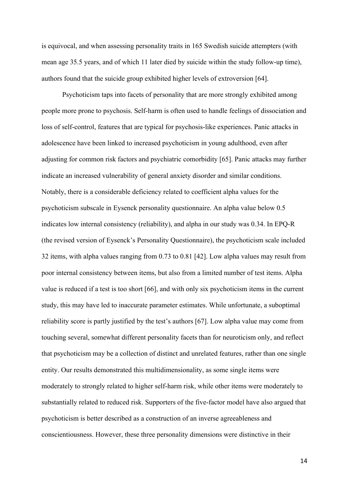is equivocal, and when assessing personality traits in 165 Swedish suicide attempters (with mean age 35.5 years, and of which 11 later died by suicide within the study follow-up time), authors found that the suicide group exhibited higher levels of extroversion [64].

Psychoticism taps into facets of personality that are more strongly exhibited among people more prone to psychosis. Self-harm is often used to handle feelings of dissociation and loss of self-control, features that are typical for psychosis-like experiences. Panic attacks in adolescence have been linked to increased psychoticism in young adulthood, even after adjusting for common risk factors and psychiatric comorbidity [65]. Panic attacks may further indicate an increased vulnerability of general anxiety disorder and similar conditions. Notably, there is a considerable deficiency related to coefficient alpha values for the psychoticism subscale in Eysenck personality questionnaire. An alpha value below 0.5 indicates low internal consistency (reliability), and alpha in our study was 0.34. In EPQ-R (the revised version of Eysenck's Personality Questionnaire), the psychoticism scale included 32 items, with alpha values ranging from 0.73 to 0.81 [42]. Low alpha values may result from poor internal consistency between items, but also from a limited number of test items. Alpha value is reduced if a test is too short [66], and with only six psychoticism items in the current study, this may have led to inaccurate parameter estimates. While unfortunate, a suboptimal reliability score is partly justified by the test's authors [67]. Low alpha value may come from touching several, somewhat different personality facets than for neuroticism only, and reflect that psychoticism may be a collection of distinct and unrelated features, rather than one single entity. Our results demonstrated this multidimensionality, as some single items were moderately to strongly related to higher self-harm risk, while other items were moderately to substantially related to reduced risk. Supporters of the five-factor model have also argued that psychoticism is better described as a construction of an inverse agreeableness and conscientiousness. However, these three personality dimensions were distinctive in their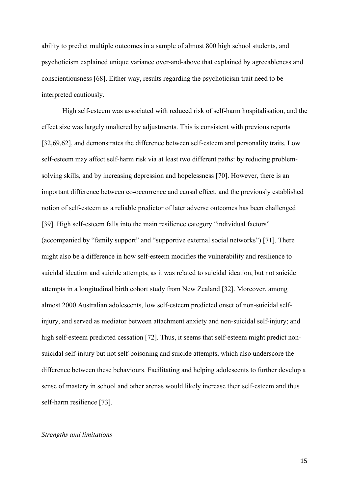ability to predict multiple outcomes in a sample of almost 800 high school students, and psychoticism explained unique variance over-and-above that explained by agreeableness and conscientiousness [68]. Either way, results regarding the psychoticism trait need to be interpreted cautiously.

High self-esteem was associated with reduced risk of self-harm hospitalisation, and the effect size was largely unaltered by adjustments. This is consistent with previous reports [32,69,62], and demonstrates the difference between self-esteem and personality traits. Low self-esteem may affect self-harm risk via at least two different paths: by reducing problemsolving skills, and by increasing depression and hopelessness [70]. However, there is an important difference between co-occurrence and causal effect, and the previously established notion of self-esteem as a reliable predictor of later adverse outcomes has been challenged [39]. High self-esteem falls into the main resilience category "individual factors" (accompanied by "family support" and "supportive external social networks") [71]. There might also be a difference in how self-esteem modifies the vulnerability and resilience to suicidal ideation and suicide attempts, as it was related to suicidal ideation, but not suicide attempts in a longitudinal birth cohort study from New Zealand [32]. Moreover, among almost 2000 Australian adolescents, low self-esteem predicted onset of non-suicidal selfinjury, and served as mediator between attachment anxiety and non-suicidal self-injury; and high self-esteem predicted cessation [72]. Thus, it seems that self-esteem might predict nonsuicidal self-injury but not self-poisoning and suicide attempts, which also underscore the difference between these behaviours. Facilitating and helping adolescents to further develop a sense of mastery in school and other arenas would likely increase their self-esteem and thus self-harm resilience [73].

#### *Strengths and limitations*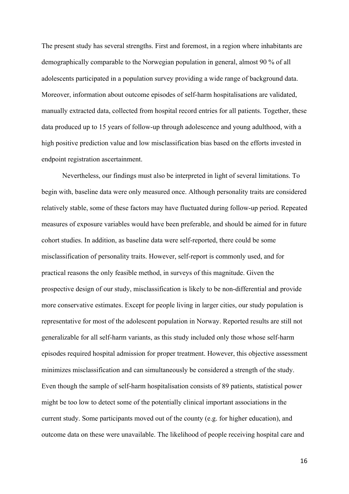The present study has several strengths. First and foremost, in a region where inhabitants are demographically comparable to the Norwegian population in general, almost 90 % of all adolescents participated in a population survey providing a wide range of background data. Moreover, information about outcome episodes of self-harm hospitalisations are validated, manually extracted data, collected from hospital record entries for all patients. Together, these data produced up to 15 years of follow-up through adolescence and young adulthood, with a high positive prediction value and low misclassification bias based on the efforts invested in endpoint registration ascertainment.

Nevertheless, our findings must also be interpreted in light of several limitations. To begin with, baseline data were only measured once. Although personality traits are considered relatively stable, some of these factors may have fluctuated during follow-up period. Repeated measures of exposure variables would have been preferable, and should be aimed for in future cohort studies. In addition, as baseline data were self-reported, there could be some misclassification of personality traits. However, self-report is commonly used, and for practical reasons the only feasible method, in surveys of this magnitude. Given the prospective design of our study, misclassification is likely to be non-differential and provide more conservative estimates. Except for people living in larger cities, our study population is representative for most of the adolescent population in Norway. Reported results are still not generalizable for all self-harm variants, as this study included only those whose self-harm episodes required hospital admission for proper treatment. However, this objective assessment minimizes misclassification and can simultaneously be considered a strength of the study. Even though the sample of self-harm hospitalisation consists of 89 patients, statistical power might be too low to detect some of the potentially clinical important associations in the current study. Some participants moved out of the county (e.g. for higher education), and outcome data on these were unavailable. The likelihood of people receiving hospital care and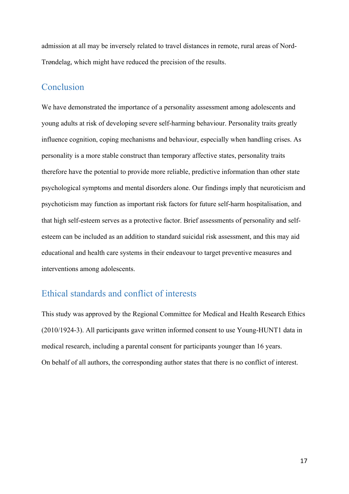admission at all may be inversely related to travel distances in remote, rural areas of Nord-Trøndelag, which might have reduced the precision of the results.

# Conclusion

We have demonstrated the importance of a personality assessment among adolescents and young adults at risk of developing severe self-harming behaviour. Personality traits greatly influence cognition, coping mechanisms and behaviour, especially when handling crises. As personality is a more stable construct than temporary affective states, personality traits therefore have the potential to provide more reliable, predictive information than other state psychological symptoms and mental disorders alone. Our findings imply that neuroticism and psychoticism may function as important risk factors for future self-harm hospitalisation, and that high self-esteem serves as a protective factor. Brief assessments of personality and selfesteem can be included as an addition to standard suicidal risk assessment, and this may aid educational and health care systems in their endeavour to target preventive measures and interventions among adolescents.

# Ethical standards and conflict of interests

This study was approved by the Regional Committee for Medical and Health Research Ethics (2010/1924-3). All participants gave written informed consent to use Young-HUNT1 data in medical research, including a parental consent for participants younger than 16 years. On behalf of all authors, the corresponding author states that there is no conflict of interest.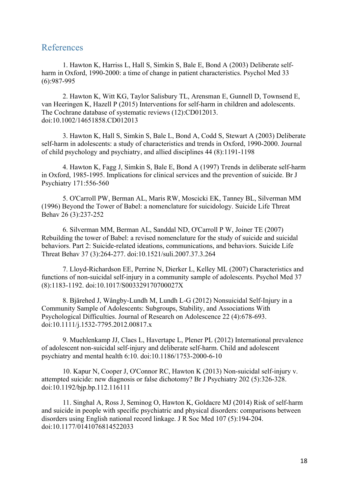## References

1. Hawton K, Harriss L, Hall S, Simkin S, Bale E, Bond A (2003) Deliberate selfharm in Oxford, 1990-2000: a time of change in patient characteristics. Psychol Med 33 (6):987-995

2. Hawton K, Witt KG, Taylor Salisbury TL, Arensman E, Gunnell D, Townsend E, van Heeringen K, Hazell P (2015) Interventions for self-harm in children and adolescents. The Cochrane database of systematic reviews (12):CD012013. doi:10.1002/14651858.CD012013

3. Hawton K, Hall S, Simkin S, Bale L, Bond A, Codd S, Stewart A (2003) Deliberate self-harm in adolescents: a study of characteristics and trends in Oxford, 1990-2000. Journal of child psychology and psychiatry, and allied disciplines 44 (8):1191-1198

4. Hawton K, Fagg J, Simkin S, Bale E, Bond A (1997) Trends in deliberate self-harm in Oxford, 1985-1995. Implications for clinical services and the prevention of suicide. Br J Psychiatry 171:556-560

5. O'Carroll PW, Berman AL, Maris RW, Moscicki EK, Tanney BL, Silverman MM (1996) Beyond the Tower of Babel: a nomenclature for suicidology. Suicide Life Threat Behav 26 (3):237-252

6. Silverman MM, Berman AL, Sanddal ND, O'Carroll P W, Joiner TE (2007) Rebuilding the tower of Babel: a revised nomenclature for the study of suicide and suicidal behaviors. Part 2: Suicide-related ideations, communications, and behaviors. Suicide Life Threat Behav 37 (3):264-277. doi:10.1521/suli.2007.37.3.264

7. Lloyd-Richardson EE, Perrine N, Dierker L, Kelley ML (2007) Characteristics and functions of non-suicidal self-injury in a community sample of adolescents. Psychol Med 37 (8):1183-1192. doi:10.1017/S003329170700027X

8. Bjärehed J, Wångby-Lundh M, Lundh L-G (2012) Nonsuicidal Self-Injury in a Community Sample of Adolescents: Subgroups, Stability, and Associations With Psychological Difficulties. Journal of Research on Adolescence 22 (4):678-693. doi:10.1111/j.1532-7795.2012.00817.x

9. Muehlenkamp JJ, Claes L, Havertape L, Plener PL (2012) International prevalence of adolescent non-suicidal self-injury and deliberate self-harm. Child and adolescent psychiatry and mental health 6:10. doi:10.1186/1753-2000-6-10

10. Kapur N, Cooper J, O'Connor RC, Hawton K (2013) Non-suicidal self-injury v. attempted suicide: new diagnosis or false dichotomy? Br J Psychiatry 202 (5):326-328. doi:10.1192/bjp.bp.112.116111

11. Singhal A, Ross J, Seminog O, Hawton K, Goldacre MJ (2014) Risk of self-harm and suicide in people with specific psychiatric and physical disorders: comparisons between disorders using English national record linkage. J R Soc Med 107 (5):194-204. doi:10.1177/0141076814522033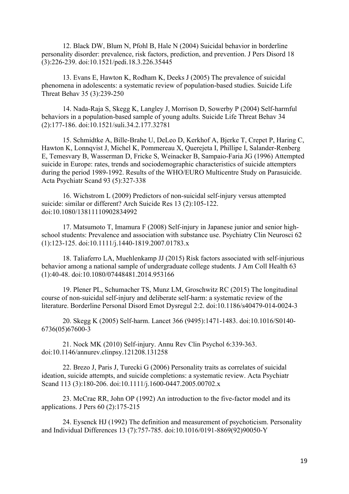12. Black DW, Blum N, Pfohl B, Hale N (2004) Suicidal behavior in borderline personality disorder: prevalence, risk factors, prediction, and prevention. J Pers Disord 18 (3):226-239. doi:10.1521/pedi.18.3.226.35445

13. Evans E, Hawton K, Rodham K, Deeks J (2005) The prevalence of suicidal phenomena in adolescents: a systematic review of population-based studies. Suicide Life Threat Behav 35 (3):239-250

14. Nada-Raja S, Skegg K, Langley J, Morrison D, Sowerby P (2004) Self-harmful behaviors in a population-based sample of young adults. Suicide Life Threat Behav 34 (2):177-186. doi:10.1521/suli.34.2.177.32781

15. Schmidtke A, Bille-Brahe U, DeLeo D, Kerkhof A, Bjerke T, Crepet P, Haring C, Hawton K, Lonnqvist J, Michel K, Pommereau X, Querejeta I, Phillipe I, Salander-Renberg E, Temesvary B, Wasserman D, Fricke S, Weinacker B, Sampaio-Faria JG (1996) Attempted suicide in Europe: rates, trends and sociodemographic characteristics of suicide attempters during the period 1989-1992. Results of the WHO/EURO Multicentre Study on Parasuicide. Acta Psychiatr Scand 93 (5):327-338

16. Wichstrom L (2009) Predictors of non-suicidal self-injury versus attempted suicide: similar or different? Arch Suicide Res 13 (2):105-122. doi:10.1080/13811110902834992

17. Matsumoto T, Imamura F (2008) Self-injury in Japanese junior and senior highschool students: Prevalence and association with substance use. Psychiatry Clin Neurosci 62 (1):123-125. doi:10.1111/j.1440-1819.2007.01783.x

18. Taliaferro LA, Muehlenkamp JJ (2015) Risk factors associated with self-injurious behavior among a national sample of undergraduate college students. J Am Coll Health 63 (1):40-48. doi:10.1080/07448481.2014.953166

19. Plener PL, Schumacher TS, Munz LM, Groschwitz RC (2015) The longitudinal course of non-suicidal self-injury and deliberate self-harm: a systematic review of the literature. Borderline Personal Disord Emot Dysregul 2:2. doi:10.1186/s40479-014-0024-3

20. Skegg K (2005) Self-harm. Lancet 366 (9495):1471-1483. doi:10.1016/S0140- 6736(05)67600-3

21. Nock MK (2010) Self-injury. Annu Rev Clin Psychol 6:339-363. doi:10.1146/annurev.clinpsy.121208.131258

22. Brezo J, Paris J, Turecki G (2006) Personality traits as correlates of suicidal ideation, suicide attempts, and suicide completions: a systematic review. Acta Psychiatr Scand 113 (3):180-206. doi:10.1111/j.1600-0447.2005.00702.x

23. McCrae RR, John OP (1992) An introduction to the five-factor model and its applications. J Pers 60 (2):175-215

24. Eysenck HJ (1992) The definition and measurement of psychoticism. Personality and Individual Differences 13 (7):757-785. doi:10.1016/0191-8869(92)90050-Y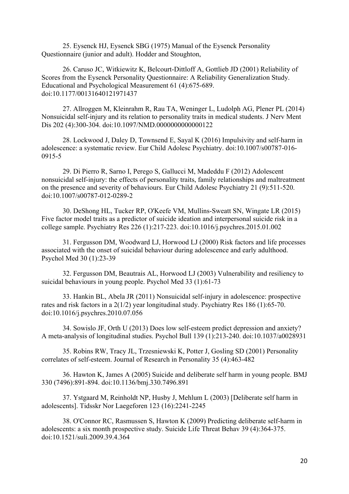25. Eysenck HJ, Eysenck SBG (1975) Manual of the Eysenck Personality Questionnaire (junior and adult). Hodder and Stoughton,

26. Caruso JC, Witkiewitz K, Belcourt-Dittloff A, Gottlieb JD (2001) Reliability of Scores from the Eysenck Personality Questionnaire: A Reliability Generalization Study. Educational and Psychological Measurement 61 (4):675-689. doi:10.1177/00131640121971437

27. Allroggen M, Kleinrahm R, Rau TA, Weninger L, Ludolph AG, Plener PL (2014) Nonsuicidal self-injury and its relation to personality traits in medical students. J Nerv Ment Dis 202 (4):300-304. doi:10.1097/NMD.0000000000000122

28. Lockwood J, Daley D, Townsend E, Sayal K (2016) Impulsivity and self-harm in adolescence: a systematic review. Eur Child Adolesc Psychiatry. doi:10.1007/s00787-016- 0915-5

29. Di Pierro R, Sarno I, Perego S, Gallucci M, Madeddu F (2012) Adolescent nonsuicidal self-injury: the effects of personality traits, family relationships and maltreatment on the presence and severity of behaviours. Eur Child Adolesc Psychiatry 21 (9):511-520. doi:10.1007/s00787-012-0289-2

30. DeShong HL, Tucker RP, O'Keefe VM, Mullins-Sweatt SN, Wingate LR (2015) Five factor model traits as a predictor of suicide ideation and interpersonal suicide risk in a college sample. Psychiatry Res 226 (1):217-223. doi:10.1016/j.psychres.2015.01.002

31. Fergusson DM, Woodward LJ, Horwood LJ (2000) Risk factors and life processes associated with the onset of suicidal behaviour during adolescence and early adulthood. Psychol Med 30 (1):23-39

32. Fergusson DM, Beautrais AL, Horwood LJ (2003) Vulnerability and resiliency to suicidal behaviours in young people. Psychol Med 33 (1):61-73

33. Hankin BL, Abela JR (2011) Nonsuicidal self-injury in adolescence: prospective rates and risk factors in a 2(1/2) year longitudinal study. Psychiatry Res 186 (1):65-70. doi:10.1016/j.psychres.2010.07.056

34. Sowislo JF, Orth U (2013) Does low self-esteem predict depression and anxiety? A meta-analysis of longitudinal studies. Psychol Bull 139 (1):213-240. doi:10.1037/a0028931

35. Robins RW, Tracy JL, Trzesniewski K, Potter J, Gosling SD (2001) Personality correlates of self-esteem. Journal of Research in Personality 35 (4):463-482

36. Hawton K, James A (2005) Suicide and deliberate self harm in young people. BMJ 330 (7496):891-894. doi:10.1136/bmj.330.7496.891

37. Ystgaard M, Reinholdt NP, Husby J, Mehlum L (2003) [Deliberate self harm in adolescents]. Tidsskr Nor Laegeforen 123 (16):2241-2245

38. O'Connor RC, Rasmussen S, Hawton K (2009) Predicting deliberate self-harm in adolescents: a six month prospective study. Suicide Life Threat Behav 39 (4):364-375. doi:10.1521/suli.2009.39.4.364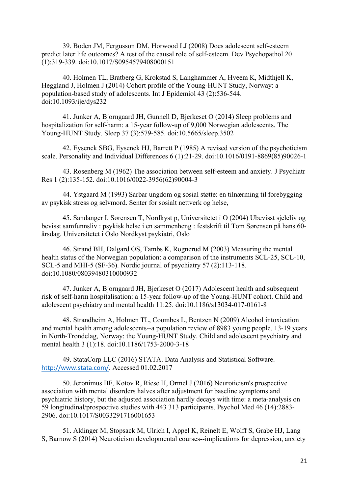39. Boden JM, Fergusson DM, Horwood LJ (2008) Does adolescent self-esteem predict later life outcomes? A test of the causal role of self-esteem. Dev Psychopathol 20 (1):319-339. doi:10.1017/S0954579408000151

40. Holmen TL, Bratberg G, Krokstad S, Langhammer A, Hveem K, Midthjell K, Heggland J, Holmen J (2014) Cohort profile of the Young-HUNT Study, Norway: a population-based study of adolescents. Int J Epidemiol 43 (2):536-544. doi:10.1093/ije/dys232

41. Junker A, Bjorngaard JH, Gunnell D, Bjerkeset O (2014) Sleep problems and hospitalization for self-harm: a 15-year follow-up of 9,000 Norwegian adolescents. The Young-HUNT Study. Sleep 37 (3):579-585. doi:10.5665/sleep.3502

42. Eysenck SBG, Eysenck HJ, Barrett P (1985) A revised version of the psychoticism scale. Personality and Individual Differences 6 (1):21-29. doi:10.1016/0191-8869(85)90026-1

43. Rosenberg M (1962) The association between self-esteem and anxiety. J Psychiatr Res 1 (2):135-152. doi:10.1016/0022-3956(62)90004-3

44. Ystgaard M (1993) Sårbar ungdom og sosial støtte: en tilnærming til forebygging av psykisk stress og selvmord. Senter for sosialt nettverk og helse,

45. Sandanger I, Sørensen T, Nordkyst p, Universitetet i O (2004) Ubevisst sjeleliv og bevisst samfunnsliv : psykisk helse i en sammenheng : festskrift til Tom Sørensen på hans 60 årsdag. Universitetet i Oslo Nordkyst psykiatri, Oslo

46. Strand BH, Dalgard OS, Tambs K, Rognerud M (2003) Measuring the mental health status of the Norwegian population: a comparison of the instruments SCL-25, SCL-10, SCL-5 and MHI-5 (SF-36). Nordic journal of psychiatry 57 (2):113-118. doi:10.1080/08039480310000932

47. Junker A, Bjorngaard JH, Bjerkeset O (2017) Adolescent health and subsequent risk of self-harm hospitalisation: a 15-year follow-up of the Young-HUNT cohort. Child and adolescent psychiatry and mental health 11:25. doi:10.1186/s13034-017-0161-8

48. Strandheim A, Holmen TL, Coombes L, Bentzen N (2009) Alcohol intoxication and mental health among adolescents--a population review of 8983 young people, 13-19 years in North-Trondelag, Norway: the Young-HUNT Study. Child and adolescent psychiatry and mental health 3 (1):18. doi:10.1186/1753-2000-3-18

49. StataCorp LLC (2016) STATA. Data Analysis and Statistical Software. http://www.stata.com/. Accessed 01.02.2017

50. Jeronimus BF, Kotov R, Riese H, Ormel J (2016) Neuroticism's prospective association with mental disorders halves after adjustment for baseline symptoms and psychiatric history, but the adjusted association hardly decays with time: a meta-analysis on 59 longitudinal/prospective studies with 443 313 participants. Psychol Med 46 (14):2883- 2906. doi:10.1017/S0033291716001653

51. Aldinger M, Stopsack M, Ulrich I, Appel K, Reinelt E, Wolff S, Grabe HJ, Lang S, Barnow S (2014) Neuroticism developmental courses--implications for depression, anxiety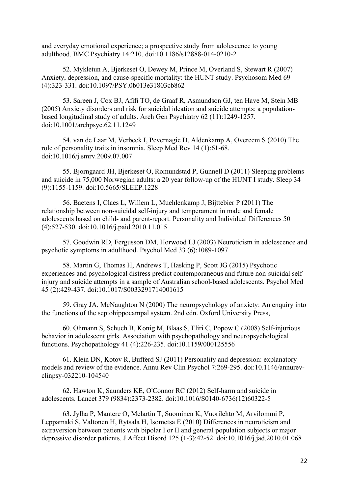and everyday emotional experience; a prospective study from adolescence to young adulthood. BMC Psychiatry 14:210. doi:10.1186/s12888-014-0210-2

52. Mykletun A, Bjerkeset O, Dewey M, Prince M, Overland S, Stewart R (2007) Anxiety, depression, and cause-specific mortality: the HUNT study. Psychosom Med 69 (4):323-331. doi:10.1097/PSY.0b013e31803cb862

53. Sareen J, Cox BJ, Afifi TO, de Graaf R, Asmundson GJ, ten Have M, Stein MB (2005) Anxiety disorders and risk for suicidal ideation and suicide attempts: a populationbased longitudinal study of adults. Arch Gen Psychiatry 62 (11):1249-1257. doi:10.1001/archpsyc.62.11.1249

54. van de Laar M, Verbeek I, Pevernagie D, Aldenkamp A, Overeem S (2010) The role of personality traits in insomnia. Sleep Med Rev 14 (1):61-68. doi:10.1016/j.smrv.2009.07.007

55. Bjorngaard JH, Bjerkeset O, Romundstad P, Gunnell D (2011) Sleeping problems and suicide in 75,000 Norwegian adults: a 20 year follow-up of the HUNT I study. Sleep 34 (9):1155-1159. doi:10.5665/SLEEP.1228

56. Baetens I, Claes L, Willem L, Muehlenkamp J, Bijttebier P (2011) The relationship between non-suicidal self-injury and temperament in male and female adolescents based on child- and parent-report. Personality and Individual Differences 50 (4):527-530. doi:10.1016/j.paid.2010.11.015

57. Goodwin RD, Fergusson DM, Horwood LJ (2003) Neuroticism in adolescence and psychotic symptoms in adulthood. Psychol Med 33 (6):1089-1097

58. Martin G, Thomas H, Andrews T, Hasking P, Scott JG (2015) Psychotic experiences and psychological distress predict contemporaneous and future non-suicidal selfinjury and suicide attempts in a sample of Australian school-based adolescents. Psychol Med 45 (2):429-437. doi:10.1017/S0033291714001615

59. Gray JA, McNaughton N (2000) The neuropsychology of anxiety: An enquiry into the functions of the septohippocampal system. 2nd edn. Oxford University Press,

60. Ohmann S, Schuch B, Konig M, Blaas S, Fliri C, Popow C (2008) Self-injurious behavior in adolescent girls. Association with psychopathology and neuropsychological functions. Psychopathology 41 (4):226-235. doi:10.1159/000125556

61. Klein DN, Kotov R, Bufferd SJ (2011) Personality and depression: explanatory models and review of the evidence. Annu Rev Clin Psychol 7:269-295. doi:10.1146/annurevclinpsy-032210-104540

62. Hawton K, Saunders KE, O'Connor RC (2012) Self-harm and suicide in adolescents. Lancet 379 (9834):2373-2382. doi:10.1016/S0140-6736(12)60322-5

63. Jylha P, Mantere O, Melartin T, Suominen K, Vuorilehto M, Arvilommi P, Leppamaki S, Valtonen H, Rytsala H, Isometsa E (2010) Differences in neuroticism and extraversion between patients with bipolar I or II and general population subjects or major depressive disorder patients. J Affect Disord 125 (1-3):42-52. doi:10.1016/j.jad.2010.01.068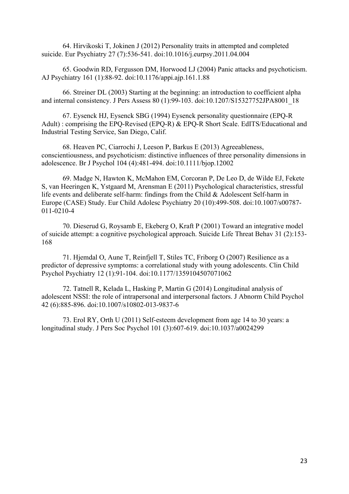64. Hirvikoski T, Jokinen J (2012) Personality traits in attempted and completed suicide. Eur Psychiatry 27 (7):536-541. doi:10.1016/j.eurpsy.2011.04.004

65. Goodwin RD, Fergusson DM, Horwood LJ (2004) Panic attacks and psychoticism. AJ Psychiatry 161 (1):88-92. doi:10.1176/appi.ajp.161.1.88

66. Streiner DL (2003) Starting at the beginning: an introduction to coefficient alpha and internal consistency. J Pers Assess 80 (1):99-103. doi:10.1207/S15327752JPA8001\_18

67. Eysenck HJ, Eysenck SBG (1994) Eysenck personality questionnaire (EPQ-R Adult) : comprising the EPQ-Revised (EPQ-R) & EPQ-R Short Scale. EdITS/Educational and Industrial Testing Service, San Diego, Calif.

68. Heaven PC, Ciarrochi J, Leeson P, Barkus E (2013) Agreeableness, conscientiousness, and psychoticism: distinctive influences of three personality dimensions in adolescence. Br J Psychol 104 (4):481-494. doi:10.1111/bjop.12002

69. Madge N, Hawton K, McMahon EM, Corcoran P, De Leo D, de Wilde EJ, Fekete S, van Heeringen K, Ystgaard M, Arensman E (2011) Psychological characteristics, stressful life events and deliberate self-harm: findings from the Child & Adolescent Self-harm in Europe (CASE) Study. Eur Child Adolesc Psychiatry 20 (10):499-508. doi:10.1007/s00787- 011-0210-4

70. Dieserud G, Roysamb E, Ekeberg O, Kraft P (2001) Toward an integrative model of suicide attempt: a cognitive psychological approach. Suicide Life Threat Behav 31 (2):153- 168

71. Hjemdal O, Aune T, Reinfjell T, Stiles TC, Friborg O (2007) Resilience as a predictor of depressive symptoms: a correlational study with young adolescents. Clin Child Psychol Psychiatry 12 (1):91-104. doi:10.1177/1359104507071062

72. Tatnell R, Kelada L, Hasking P, Martin G (2014) Longitudinal analysis of adolescent NSSI: the role of intrapersonal and interpersonal factors. J Abnorm Child Psychol 42 (6):885-896. doi:10.1007/s10802-013-9837-6

73. Erol RY, Orth U (2011) Self-esteem development from age 14 to 30 years: a longitudinal study. J Pers Soc Psychol 101 (3):607-619. doi:10.1037/a0024299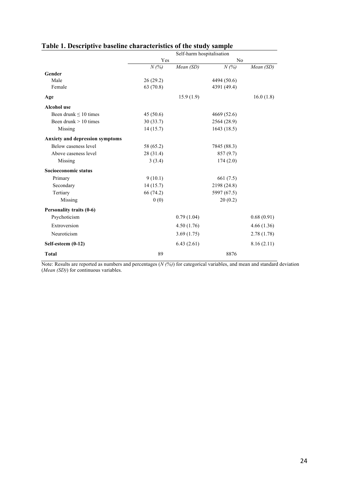|                                 | Self-harm hospitalisation |            |             |            |  |  |
|---------------------------------|---------------------------|------------|-------------|------------|--|--|
|                                 | Yes                       |            | No          |            |  |  |
|                                 | N(%)                      | Mean (SD)  | N(%)        | Mean (SD)  |  |  |
| Gender                          |                           |            |             |            |  |  |
| Male                            | 26(29.2)                  |            | 4494 (50.6) |            |  |  |
| Female                          | 63 (70.8)                 |            | 4391 (49.4) |            |  |  |
| Age                             |                           | 15.9(1.9)  |             | 16.0(1.8)  |  |  |
| <b>Alcohol</b> use              |                           |            |             |            |  |  |
| Been drunk $\leq 10$ times      | 45(50.6)                  |            | 4669 (52.6) |            |  |  |
| Been drunk $> 10$ times         | 30(33.7)                  |            | 2564 (28.9) |            |  |  |
| Missing                         | 14(15.7)                  |            | 1643(18.5)  |            |  |  |
| Anxiety and depression symptoms |                           |            |             |            |  |  |
| Below caseness level            | 58 (65.2)                 |            | 7845 (88.3) |            |  |  |
| Above caseness level            | 28 (31.4)                 |            | 857(9.7)    |            |  |  |
| Missing                         | 3(3.4)                    |            | 174(2.0)    |            |  |  |
| Socioeconomic status            |                           |            |             |            |  |  |
| Primary                         | 9(10.1)                   |            | 661 (7.5)   |            |  |  |
| Secondary                       | 14(15.7)                  |            | 2198 (24.8) |            |  |  |
| Tertiary                        | 66 (74.2)                 |            | 5997 (67.5) |            |  |  |
| Missing                         | 0(0)                      |            | 20(0.2)     |            |  |  |
| Personality traits (0-6)        |                           |            |             |            |  |  |
| Psychoticism                    |                           | 0.79(1.04) |             | 0.68(0.91) |  |  |
| Extroversion                    |                           | 4.50(1.76) |             | 4.66(1.36) |  |  |
| Neuroticism                     |                           | 3.69(1.75) |             | 2.78(1.78) |  |  |
| Self-esteem (0-12)              |                           | 6.43(2.61) |             | 8.16(2.11) |  |  |
| <b>Total</b>                    | 89                        |            | 8876        |            |  |  |

## **Table 1. Descriptive baseline characteristics of the study sample**

Note: Results are reported as numbers and percentages (*N (%)*) for categorical variables, and mean and standard deviation (*Mean (SD)*) for continuous variables.